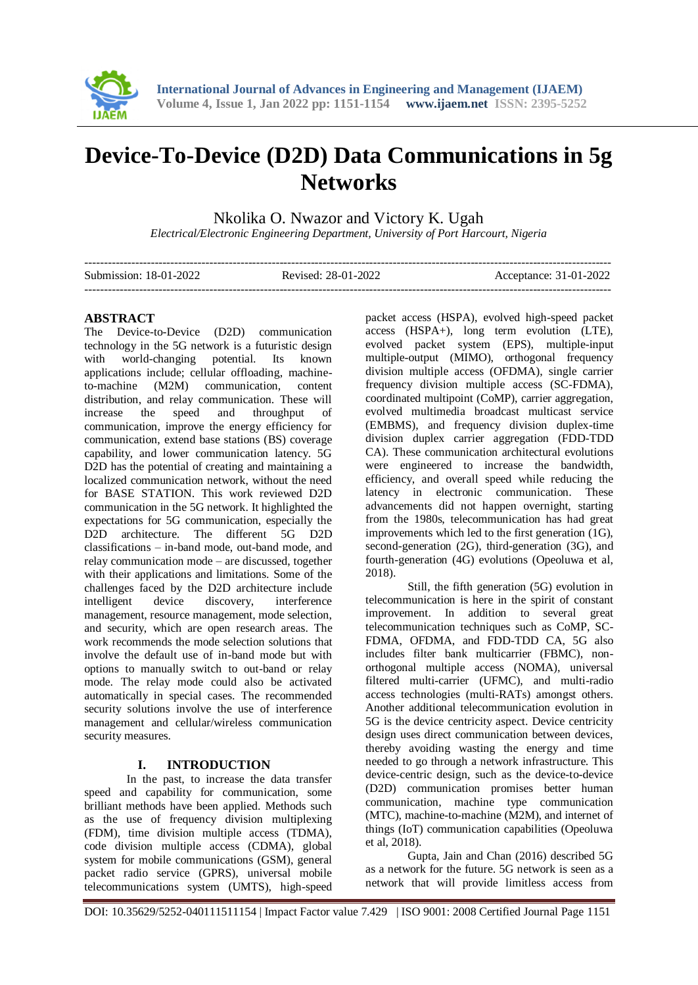

# **Device-To-Device (D2D) Data Communications in 5g Networks**

Nkolika O. Nwazor and Victory K. Ugah

*Electrical/Electronic Engineering Department, University of Port Harcourt, Nigeria*

| Submission: 18-01-2022 | Revised: 28-01-2022 | Acceptance: 31-01-2022 |
|------------------------|---------------------|------------------------|
|                        |                     |                        |

## **ABSTRACT**

The Device-to-Device (D2D) communication technology in the 5G network is a futuristic design with world-changing potential. Its known applications include; cellular offloading, machineto-machine (M2M) communication, content distribution, and relay communication. These will increase the speed and throughput of communication, improve the energy efficiency for communication, extend base stations (BS) coverage capability, and lower communication latency. 5G D<sub>2</sub>D has the potential of creating and maintaining a localized communication network, without the need for BASE STATION. This work reviewed D2D communication in the 5G network. It highlighted the expectations for 5G communication, especially the D2D architecture. The different 5G D2D classifications – in-band mode, out-band mode, and relay communication mode – are discussed, together with their applications and limitations. Some of the challenges faced by the D2D architecture include intelligent device discovery, interference management, resource management, mode selection, and security, which are open research areas. The work recommends the mode selection solutions that involve the default use of in-band mode but with options to manually switch to out-band or relay mode. The relay mode could also be activated automatically in special cases. The recommended security solutions involve the use of interference management and cellular/wireless communication security measures.

#### **I. INTRODUCTION**

In the past, to increase the data transfer speed and capability for communication, some brilliant methods have been applied. Methods such as the use of frequency division multiplexing (FDM), time division multiple access (TDMA), code division multiple access (CDMA), global system for mobile communications (GSM), general packet radio service (GPRS), universal mobile telecommunications system (UMTS), high-speed

packet access (HSPA), evolved high-speed packet access (HSPA+), long term evolution (LTE), evolved packet system (EPS), multiple-input multiple-output (MIMO), orthogonal frequency division multiple access (OFDMA), single carrier frequency division multiple access (SC-FDMA), coordinated multipoint (CoMP), carrier aggregation, evolved multimedia broadcast multicast service (EMBMS), and frequency division duplex-time division duplex carrier aggregation (FDD-TDD CA). These communication architectural evolutions were engineered to increase the bandwidth, efficiency, and overall speed while reducing the latency in electronic communication. These advancements did not happen overnight, starting from the 1980s, telecommunication has had great improvements which led to the first generation (1G), second-generation (2G), third-generation (3G), and fourth-generation (4G) evolutions (Opeoluwa et al, 2018).

Still, the fifth generation (5G) evolution in telecommunication is here in the spirit of constant improvement. In addition to several great telecommunication techniques such as CoMP, SC-FDMA, OFDMA, and FDD-TDD CA, 5G also includes filter bank multicarrier (FBMC), nonorthogonal multiple access (NOMA), universal filtered multi-carrier (UFMC), and multi-radio access technologies (multi-RATs) amongst others. Another additional telecommunication evolution in 5G is the device centricity aspect. Device centricity design uses direct communication between devices, thereby avoiding wasting the energy and time needed to go through a network infrastructure. This device-centric design, such as the device-to-device (D2D) communication promises better human communication, machine type communication (MTC), machine-to-machine (M2M), and internet of things (IoT) communication capabilities (Opeoluwa et al, 2018).

Gupta, Jain and Chan (2016) described 5G as a network for the future. 5G network is seen as a network that will provide limitless access from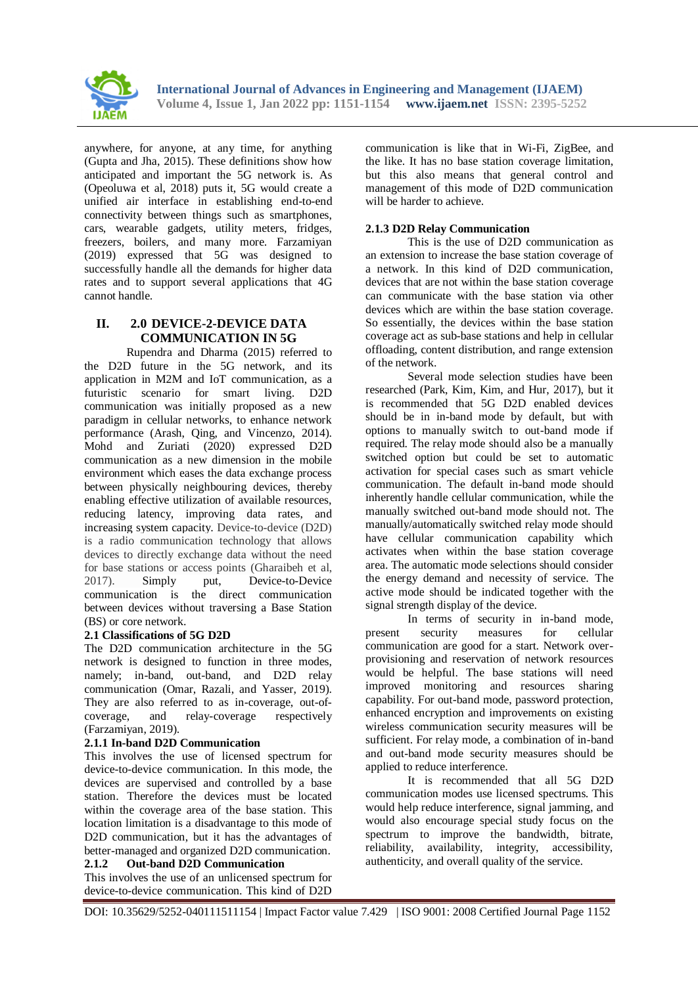

anywhere, for anyone, at any time, for anything (Gupta and Jha, 2015). These definitions show how anticipated and important the 5G network is. As (Opeoluwa et al, 2018) puts it, 5G would create a unified air interface in establishing end-to-end connectivity between things such as smartphones, cars, wearable gadgets, utility meters, fridges, freezers, boilers, and many more. Farzamiyan (2019) expressed that 5G was designed to successfully handle all the demands for higher data rates and to support several applications that 4G cannot handle.

# **II. 2.0 DEVICE-2-DEVICE DATA COMMUNICATION IN 5G**

Rupendra and Dharma (2015) referred to the D2D future in the 5G network, and its application in M2M and IoT communication, as a futuristic scenario for smart living. D2D communication was initially proposed as a new paradigm in cellular networks, to enhance network performance (Arash, Qing, and Vincenzo, 2014). Mohd and Zuriati (2020) expressed D2D communication as a new dimension in the mobile environment which eases the data exchange process between physically neighbouring devices, thereby enabling effective utilization of available resources, reducing latency, improving data rates, and increasing system capacity. Device-to-device (D2D) is a radio communication technology that allows devices to directly exchange data without the need for base stations or access points (Gharaibeh et al, 2017). Simply put, Device-to-Device communication is the direct communication between devices without traversing a Base Station (BS) or core network.

#### **2.1 Classifications of 5G D2D**

The D2D communication architecture in the 5G network is designed to function in three modes, namely; in-band, out-band, and D2D relay communication (Omar, Razali, and Yasser, 2019). They are also referred to as in-coverage, out-ofcoverage, and relay-coverage respectively (Farzamiyan, 2019).

#### **2.1.1 In-band D2D Communication**

This involves the use of licensed spectrum for device-to-device communication. In this mode, the devices are supervised and controlled by a base station. Therefore the devices must be located within the coverage area of the base station. This location limitation is a disadvantage to this mode of D2D communication, but it has the advantages of better-managed and organized D2D communication.

#### **2.1.2 Out-band D2D Communication**

This involves the use of an unlicensed spectrum for device-to-device communication. This kind of D2D

communication is like that in Wi-Fi, ZigBee, and the like. It has no base station coverage limitation, but this also means that general control and management of this mode of D2D communication will be harder to achieve.

#### **2.1.3 D2D Relay Communication**

This is the use of D2D communication as an extension to increase the base station coverage of a network. In this kind of D2D communication, devices that are not within the base station coverage can communicate with the base station via other devices which are within the base station coverage. So essentially, the devices within the base station coverage act as sub-base stations and help in cellular offloading, content distribution, and range extension of the network.

Several mode selection studies have been researched (Park, Kim, Kim, and Hur, 2017), but it is recommended that 5G D2D enabled devices should be in in-band mode by default, but with options to manually switch to out-band mode if required. The relay mode should also be a manually switched option but could be set to automatic activation for special cases such as smart vehicle communication. The default in-band mode should inherently handle cellular communication, while the manually switched out-band mode should not. The manually/automatically switched relay mode should have cellular communication capability which activates when within the base station coverage area. The automatic mode selections should consider the energy demand and necessity of service. The active mode should be indicated together with the signal strength display of the device.

In terms of security in in-band mode, present security measures for cellular communication are good for a start. Network overprovisioning and reservation of network resources would be helpful. The base stations will need improved monitoring and resources sharing capability. For out-band mode, password protection, enhanced encryption and improvements on existing wireless communication security measures will be sufficient. For relay mode, a combination of in-band and out-band mode security measures should be applied to reduce interference.

It is recommended that all 5G D2D communication modes use licensed spectrums. This would help reduce interference, signal jamming, and would also encourage special study focus on the spectrum to improve the bandwidth, bitrate, reliability, availability, integrity, accessibility, authenticity, and overall quality of the service.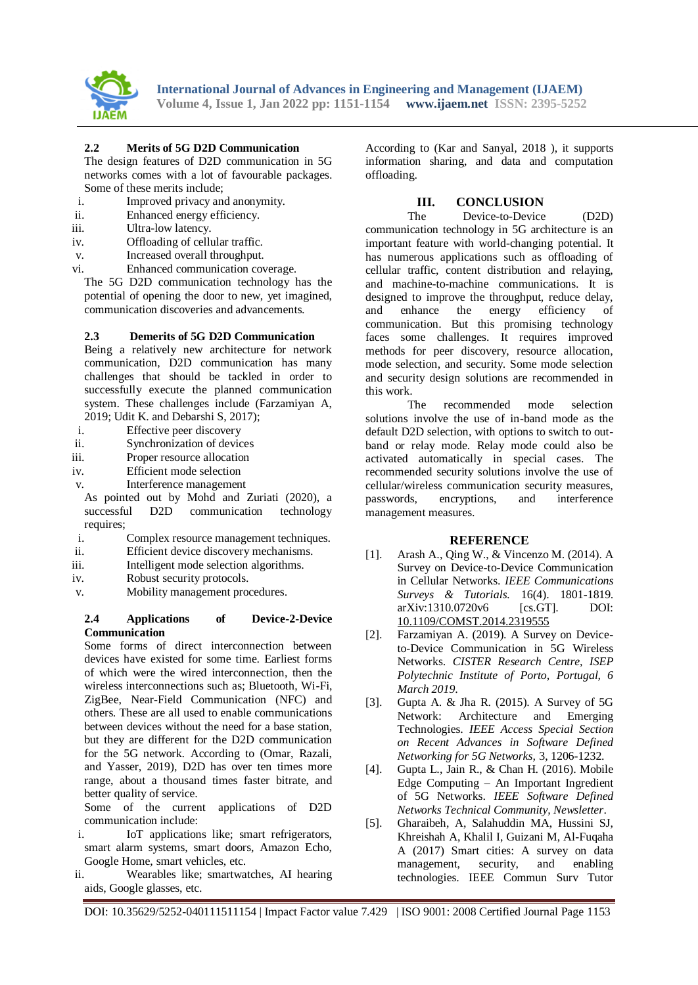

#### **2.2 Merits of 5G D2D Communication**

The design features of D2D communication in 5G networks comes with a lot of favourable packages. Some of these merits include;

- i. Improved privacy and anonymity.
- ii. Enhanced energy efficiency.
- iii. Ultra-low latency.
- iv. Offloading of cellular traffic.
- v. Increased overall throughput.
- vi. Enhanced communication coverage.

The 5G D2D communication technology has the potential of opening the door to new, yet imagined, communication discoveries and advancements.

#### **2.3 Demerits of 5G D2D Communication**

Being a relatively new architecture for network communication, D2D communication has many challenges that should be tackled in order to successfully execute the planned communication system. These challenges include (Farzamiyan A, 2019; Udit K. and Debarshi S, 2017);

- i. Effective peer discovery
- ii. Synchronization of devices
- iii. Proper resource allocation
- iv. Efficient mode selection
- v. Interference management

As pointed out by Mohd and Zuriati (2020), a successful D2D communication technology requires;

- i. Complex resource management techniques.
- ii. Efficient device discovery mechanisms.
- iii. Intelligent mode selection algorithms.
- iv. Robust security protocols.
- v. Mobility management procedures.

#### **2.4 Applications of Device-2-Device Communication**

Some forms of direct interconnection between devices have existed for some time. Earliest forms of which were the wired interconnection, then the wireless interconnections such as; Bluetooth, Wi-Fi, ZigBee, Near-Field Communication (NFC) and others. These are all used to enable communications between devices without the need for a base station, but they are different for the D2D communication for the 5G network. According to (Omar, Razali, and Yasser, 2019), D2D has over ten times more range, about a thousand times faster bitrate, and better quality of service.

Some of the current applications of D2D communication include:

- i. IoT applications like; smart refrigerators, smart alarm systems, smart doors, Amazon Echo, Google Home, smart vehicles, etc.
- ii. Wearables like; smartwatches, AI hearing aids, Google glasses, etc.

According to (Kar and Sanyal, 2018 ), it supports information sharing, and data and computation offloading.

## **III. CONCLUSION**

The Device-to-Device (D2D) communication technology in 5G architecture is an important feature with world-changing potential. It has numerous applications such as offloading of cellular traffic, content distribution and relaying, and machine-to-machine communications. It is designed to improve the throughput, reduce delay, and enhance the energy efficiency of communication. But this promising technology faces some challenges. It requires improved methods for peer discovery, resource allocation, mode selection, and security. Some mode selection and security design solutions are recommended in this work.

The recommended mode selection solutions involve the use of in-band mode as the default D2D selection, with options to switch to outband or relay mode. Relay mode could also be activated automatically in special cases. The recommended security solutions involve the use of cellular/wireless communication security measures, passwords, encryptions, and interference management measures.

#### **REFERENCE**

- [1]. Arash A., Qing W., & Vincenzo M. (2014). A Survey on Device-to-Device Communication in Cellular Networks. *IEEE Communications Surveys & Tutorials.* 16(4). 1801-1819. arXiv:1310.0720v6 [cs.GT]. DOI: [10.1109/COMST.2014.2319555](https://arxiv.org/ct?url=https%3A%2F%2Fdx.doi.org%2F10.1109%2FCOMST.2014.2319555&v=ad7dafe3)
- [2]. Farzamiyan A. (2019). A Survey on Deviceto-Device Communication in 5G Wireless Networks. *CISTER Research Centre, ISEP Polytechnic Institute of Porto, Portugal, 6 March 2019*.
- [3]. Gupta A. & Jha R. (2015). A Survey of 5G Network: Architecture and Emerging Technologies. *IEEE Access Special Section on Recent Advances in Software Defined Networking for 5G Networks,* 3, 1206-1232.
- [4]. Gupta L., Jain R., & Chan H. (2016). Mobile Edge Computing – An Important Ingredient of 5G Networks. *IEEE Software Defined Networks Technical Community, Newsletter*.
- [5]. Gharaibeh, A, Salahuddin MA, Hussini SJ, Khreishah A, Khalil I, Guizani M, Al-Fuqaha A (2017) Smart cities: A survey on data management, security, and enabling security, and enabling technologies. IEEE Commun Surv Tutor

DOI: 10.35629/5252-040111511154 | Impact Factor value 7.429 | ISO 9001: 2008 Certified Journal Page 1153